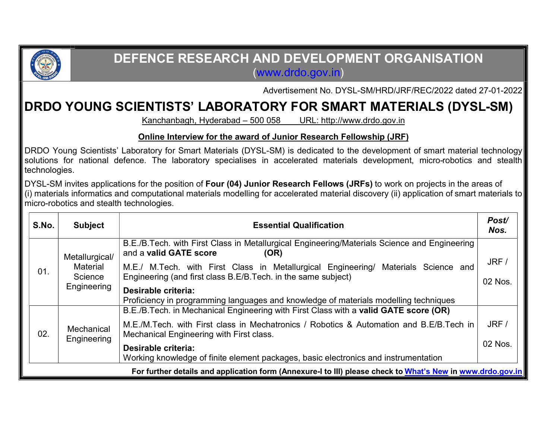

DEFENCE RESEARCH AND DEVELOPMENT ORGANISATION (www.drdo.gov.in)

Advertisement No. DYSL-SM/HRD/JRF/REC/2022 dated 27-01-2022

## DRDO YOUNG SCIENTISTS' LABORATORY FOR SMART MATERIALS (DYSL-SM)

Kanchanbagh, Hyderabad – 500 058 URL: http://www.drdo.gov.in

## Online Interview for the award of Junior Research Fellowship (JRF)

DRDO Young Scientists' Laboratory for Smart Materials (DYSL-SM) is dedicated to the development of smart material technology solutions for national defence. The laboratory specialises in accelerated materials development, micro-robotics and stealth technologies.

DYSL-SM invites applications for the position of Four (04) Junior Research Fellows (JRFs) to work on projects in the areas of (i) materials informatics and computational materials modelling for accelerated material discovery (ii) application of smart materials to micro-robotics and stealth technologies.

| S.No.                                                                                                      | <b>Subject</b>                                       | <b>Essential Qualification</b>                                                                                                                      | Post/<br>Nos.   |
|------------------------------------------------------------------------------------------------------------|------------------------------------------------------|-----------------------------------------------------------------------------------------------------------------------------------------------------|-----------------|
| 01.                                                                                                        | Metallurgical/<br>Material<br>Science<br>Engineering | B.E./B.Tech. with First Class in Metallurgical Engineering/Materials Science and Engineering<br>and a valid GATE score<br>(OR)                      |                 |
|                                                                                                            |                                                      | M.E./ M.Tech. with First Class in Metallurgical Engineering/ Materials Science and<br>Engineering (and first class B.E/B.Tech. in the same subject) | JRF/<br>02 Nos. |
|                                                                                                            |                                                      | Desirable criteria:<br>Proficiency in programming languages and knowledge of materials modelling techniques                                         |                 |
| 02.                                                                                                        | Mechanical<br>Engineering                            | B.E./B.Tech. in Mechanical Engineering with First Class with a valid GATE score (OR)                                                                |                 |
|                                                                                                            |                                                      | M.E./M.Tech, with First class in Mechatronics / Robotics & Automation and B.E/B.Tech in<br>Mechanical Engineering with First class.                 | JRF/            |
|                                                                                                            |                                                      | Desirable criteria:<br>Working knowledge of finite element packages, basic electronics and instrumentation                                          | 02 Nos.         |
| For further details and application form (Annexure-I to III) please check to What's New in www.drdo.gov.in |                                                      |                                                                                                                                                     |                 |